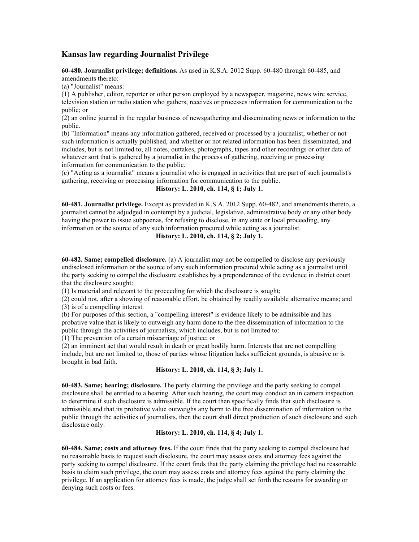# **Kansas law regarding Journalist Privilege**

**60-480. Journalist privilege; definitions.** As used in K.S.A. 2012 Supp. 60-480 through 60-485, and amendments thereto:

(a) "Journalist" means:

(1) A publisher, editor, reporter or other person employed by a newspaper, magazine, news wire service, television station or radio station who gathers, receives or processes information for communication to the public; or

(2) an online journal in the regular business of newsgathering and disseminating news or information to the public.

(b) "Information" means any information gathered, received or processed by a journalist, whether or not such information is actually published, and whether or not related information has been disseminated, and includes, but is not limited to, all notes, outtakes, photographs, tapes and other recordings or other data of whatever sort that is gathered by a journalist in the process of gathering, receiving or processing information for communication to the public.

(c) "Acting as a journalist" means a journalist who is engaged in activities that are part of such journalist's gathering, receiving or processing information for communication to the public.

# **History: L. 2010, ch. 114, § 1; July 1.**

**60-481. Journalist privilege.** Except as provided in K.S.A. 2012 Supp. 60-482, and amendments thereto, a journalist cannot be adjudged in contempt by a judicial, legislative, administrative body or any other body having the power to issue subpoenas, for refusing to disclose, in any state or local proceeding, any information or the source of any such information procured while acting as a journalist.

### **History: L. 2010, ch. 114, § 2; July 1.**

**60-482. Same; compelled disclosure.** (a) A journalist may not be compelled to disclose any previously undisclosed information or the source of any such information procured while acting as a journalist until the party seeking to compel the disclosure establishes by a preponderance of the evidence in district court that the disclosure sought:

(1) Is material and relevant to the proceeding for which the disclosure is sought;

(2) could not, after a showing of reasonable effort, be obtained by readily available alternative means; and (3) is of a compelling interest.

(b) For purposes of this section, a "compelling interest" is evidence likely to be admissible and has probative value that is likely to outweigh any harm done to the free dissemination of information to the public through the activities of journalists, which includes, but is not limited to:

(1) The prevention of a certain miscarriage of justice; or

(2) an imminent act that would result in death or great bodily harm. Interests that are not compelling include, but are not limited to, those of parties whose litigation lacks sufficient grounds, is abusive or is brought in bad faith.

### **History: L. 2010, ch. 114, § 3; July 1.**

**60-483. Same; hearing; disclosure.** The party claiming the privilege and the party seeking to compel disclosure shall be entitled to a hearing. After such hearing, the court may conduct an in camera inspection to determine if such disclosure is admissible. If the court then specifically finds that such disclosure is admissible and that its probative value outweighs any harm to the free dissemination of information to the public through the activities of journalists, then the court shall direct production of such disclosure and such disclosure only.

### **History: L. 2010, ch. 114, § 4; July 1.**

**60-484. Same; costs and attorney fees.** If the court finds that the party seeking to compel disclosure had no reasonable basis to request such disclosure, the court may assess costs and attorney fees against the party seeking to compel disclosure. If the court finds that the party claiming the privilege had no reasonable basis to claim such privilege, the court may assess costs and attorney fees against the party claiming the privilege. If an application for attorney fees is made, the judge shall set forth the reasons for awarding or denying such costs or fees.